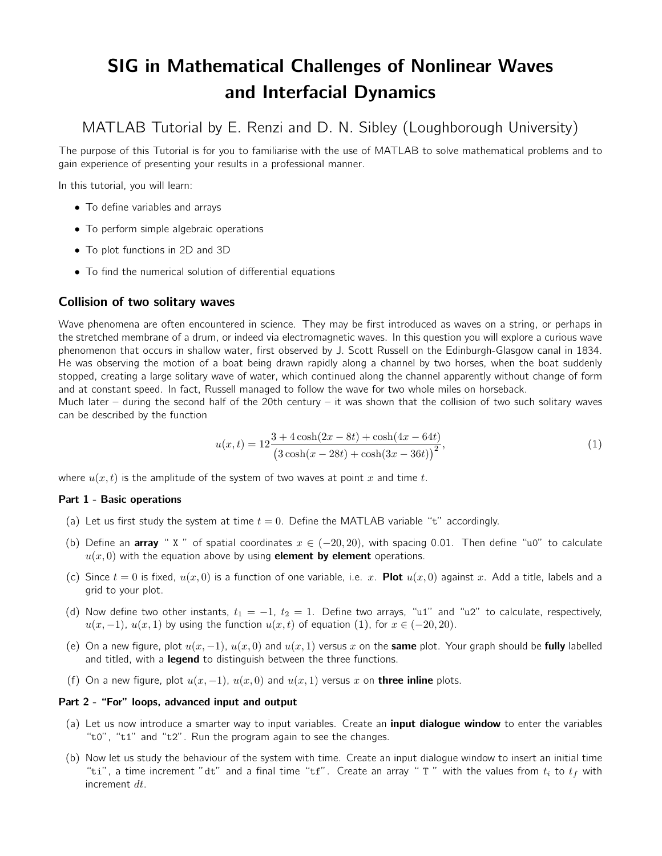# SIG in Mathematical Challenges of Nonlinear Waves and Interfacial Dynamics

MATLAB Tutorial by E. Renzi and D. N. Sibley (Loughborough University)

The purpose of this Tutorial is for you to familiarise with the use of MATLAB to solve mathematical problems and to gain experience of presenting your results in a professional manner.

In this tutorial, you will learn:

- To define variables and arrays
- To perform simple algebraic operations
- To plot functions in 2D and 3D
- To find the numerical solution of differential equations

## Collision of two solitary waves

Wave phenomena are often encountered in science. They may be first introduced as waves on a string, or perhaps in the stretched membrane of a drum, or indeed via electromagnetic waves. In this question you will explore a curious wave phenomenon that occurs in shallow water, first observed by J. Scott Russell on the Edinburgh-Glasgow canal in 1834. He was observing the motion of a boat being drawn rapidly along a channel by two horses, when the boat suddenly stopped, creating a large solitary wave of water, which continued along the channel apparently without change of form and at constant speed. In fact, Russell managed to follow the wave for two whole miles on horseback.

Much later – during the second half of the 20th century – it was shown that the collision of two such solitary waves can be described by the function

<span id="page-0-0"></span>
$$
u(x,t) = 12 \frac{3 + 4\cosh(2x - 8t) + \cosh(4x - 64t)}{(3\cosh(x - 28t) + \cosh(3x - 36t))^{2}},
$$
\n(1)

where  $u(x, t)$  is the amplitude of the system of two waves at point x and time t.

### Part 1 - Basic operations

- (a) Let us first study the system at time  $t = 0$ . Define the MATLAB variable "t" accordingly.
- (b) Define an **array** " X " of spatial coordinates  $x \in (-20, 20)$ , with spacing 0.01. Then define "u0" to calculate  $u(x, 0)$  with the equation above by using **element by element** operations.
- (c) Since  $t = 0$  is fixed,  $u(x, 0)$  is a function of one variable, i.e. x. **Plot**  $u(x, 0)$  against x. Add a title, labels and a grid to your plot.
- (d) Now define two other instants,  $t_1 = -1$ ,  $t_2 = 1$ . Define two arrays, "u1" and "u2" to calculate, respectively,  $u(x, -1)$ ,  $u(x, 1)$  by using the function  $u(x, t)$  of equation (1), for  $x \in (-20, 20)$ .
- (e) On a new figure, plot  $u(x, -1)$ ,  $u(x, 0)$  and  $u(x, 1)$  versus x on the **same** plot. Your graph should be **fully** labelled and titled, with a **legend** to distinguish between the three functions.
- (f) On a new figure, plot  $u(x, -1)$ ,  $u(x, 0)$  and  $u(x, 1)$  versus x on **three inline** plots.

### Part 2 - "For" loops, advanced input and output

- (a) Let us now introduce a smarter way to input variables. Create an *input dialogue window* to enter the variables "t0", "t1" and "t2". Run the program again to see the changes.
- (b) Now let us study the behaviour of the system with time. Create an input dialogue window to insert an initial time "ti", a time increment "dt" and a final time "tf". Create an array " T " with the values from  $t_i$  to  $t_f$  with increment dt.